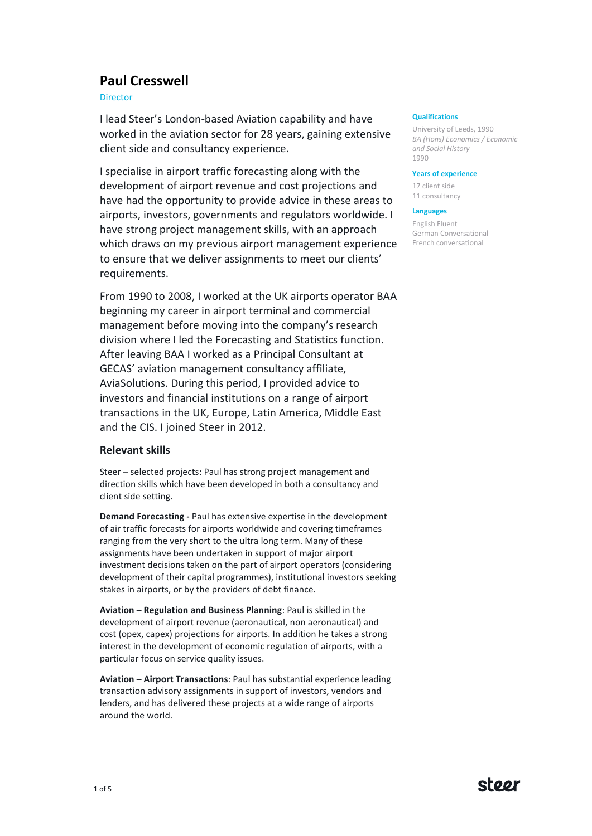# **Paul Cresswell**

Director

I lead Steer's London-based Aviation capability and have worked in the aviation sector for 28 years, gaining extensive client side and consultancy experience.

I specialise in airport traffic forecasting along with the development of airport revenue and cost projections and have had the opportunity to provide advice in these areas to airports, investors, governments and regulators worldwide. I have strong project management skills, with an approach which draws on my previous airport management experience to ensure that we deliver assignments to meet our clients' requirements.

From 1990 to 2008, I worked at the UK airports operator BAA beginning my career in airport terminal and commercial management before moving into the company's research division where I led the Forecasting and Statistics function. After leaving BAA I worked as a Principal Consultant at GECAS' aviation management consultancy affiliate, AviaSolutions. During this period, I provided advice to investors and financial institutions on a range of airport transactions in the UK, Europe, Latin America, Middle East and the CIS. I joined Steer in 2012.

## **Relevant skills**

Steer – selected projects: Paul has strong project management and direction skills which have been developed in both a consultancy and client side setting.

**Demand Forecasting -** Paul has extensive expertise in the development of air traffic forecasts for airports worldwide and covering timeframes ranging from the very short to the ultra long term. Many of these assignments have been undertaken in support of major airport investment decisions taken on the part of airport operators (considering development of their capital programmes), institutional investors seeking stakes in airports, or by the providers of debt finance.

**Aviation – Regulation and Business Planning**: Paul is skilled in the development of airport revenue (aeronautical, non aeronautical) and cost (opex, capex) projections for airports. In addition he takes a strong interest in the development of economic regulation of airports, with a particular focus on service quality issues.

**Aviation – Airport Transactions**: Paul has substantial experience leading transaction advisory assignments in support of investors, vendors and lenders, and has delivered these projects at a wide range of airports around the world.

#### **Qualifications**

University of Leeds, 1990 *BA (Hons) Economics / Economic and Social History* 1990

#### **Years of experience**

17 client side 11 consultancy

### **Languages**

English Fluent German Conversational French conversational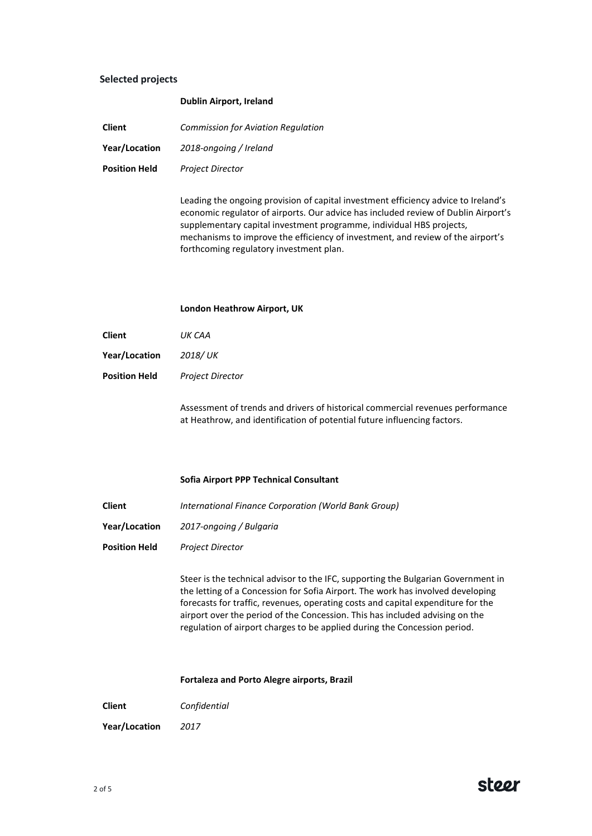## **Selected projects**

| <b>Client</b>        | <b>Commission for Aviation Regulation</b> |
|----------------------|-------------------------------------------|
| Year/Location        | 2018-ongoing / Ireland                    |
| <b>Position Held</b> | <b>Project Director</b>                   |

**Dublin Airport, Ireland**

Leading the ongoing provision of capital investment efficiency advice to Ireland's economic regulator of airports. Our advice has included review of Dublin Airport's supplementary capital investment programme, individual HBS projects, mechanisms to improve the efficiency of investment, and review of the airport's forthcoming regulatory investment plan.

#### **London Heathrow Airport, UK**

- **Year/Location** *2018/ UK*
- **Position Held** *Project Director*

Assessment of trends and drivers of historical commercial revenues performance at Heathrow, and identification of potential future influencing factors.

### **Sofia Airport PPP Technical Consultant**

**Client** *International Finance Corporation (World Bank Group)*

- **Year/Location** *2017-ongoing / Bulgaria*
- **Position Held** *Project Director*

Steer is the technical advisor to the IFC, supporting the Bulgarian Government in the letting of a Concession for Sofia Airport. The work has involved developing forecasts for traffic, revenues, operating costs and capital expenditure for the airport over the period of the Concession. This has included advising on the regulation of airport charges to be applied during the Concession period.

**Fortaleza and Porto Alegre airports, Brazil**

**Client** *Confidential*

**Year/Location** *2017*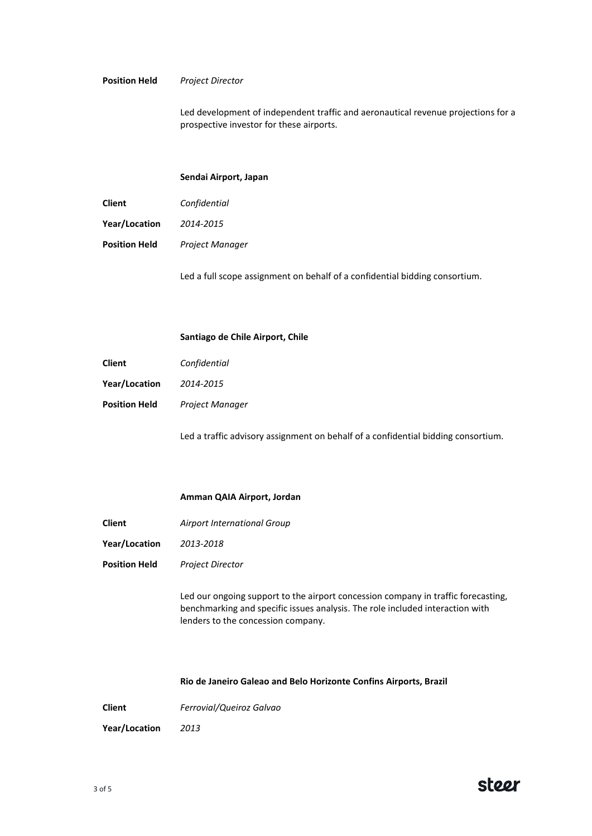## **Position Held** *Project Director*

Led development of independent traffic and aeronautical revenue projections for a prospective investor for these airports.

#### **Sendai Airport, Japan**

**Client** *Confidential*

**Year/Location** *2014-2015*

**Position Held** *Project Manager*

Led a full scope assignment on behalf of a confidential bidding consortium.

#### **Santiago de Chile Airport, Chile**

**Client** *Confidential*

**Year/Location** *2014-2015*

**Position Held** *Project Manager*

Led a traffic advisory assignment on behalf of a confidential bidding consortium.

## **Amman QAIA Airport, Jordan**

- **Client** *Airport International Group*
- **Year/Location** *2013-2018*
- **Position Held** *Project Director*

Led our ongoing support to the airport concession company in traffic forecasting, benchmarking and specific issues analysis. The role included interaction with lenders to the concession company.

**Rio de Janeiro Galeao and Belo Horizonte Confins Airports, Brazil**

**Client** *Ferrovial/Queiroz Galvao*

**Year/Location** *2013*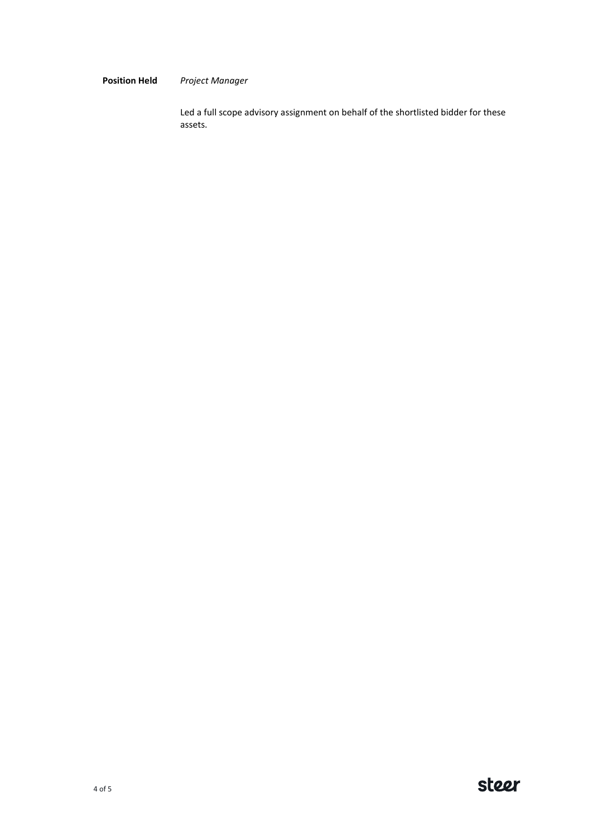## **Position Held** *Project Manager*

Led a full scope advisory assignment on behalf of the shortlisted bidder for these assets.